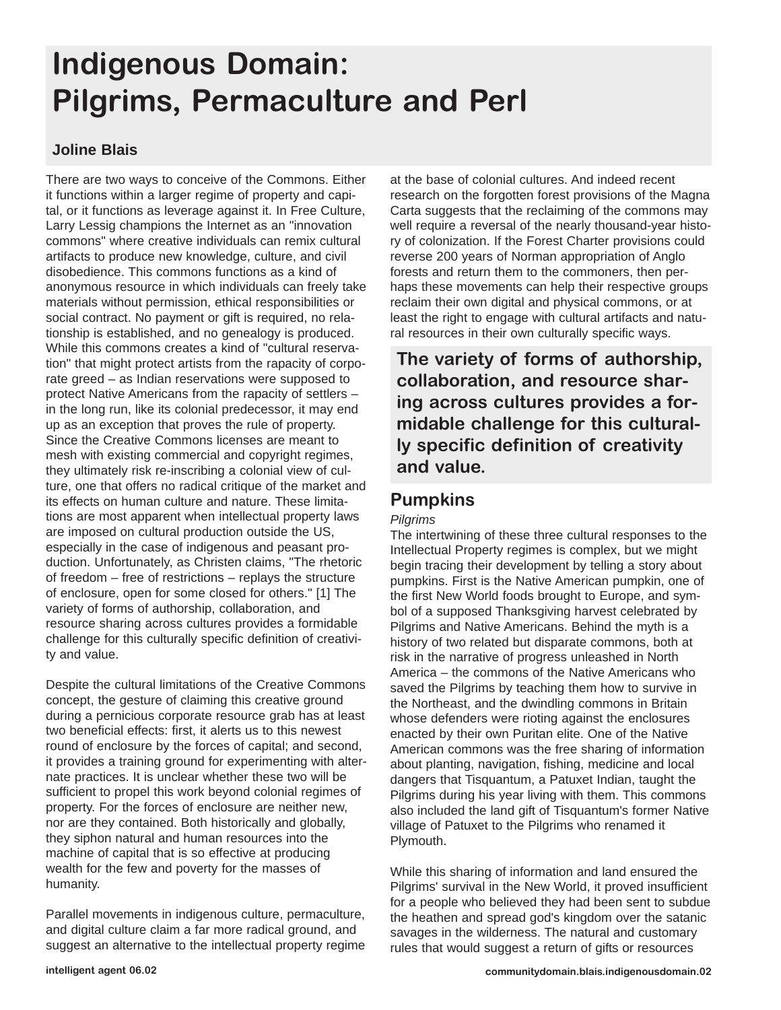# **Indigenous Domain: Pilgrims, Permaculture and Perl**

### **Joline Blais**

There are two ways to conceive of the Commons. Either it functions within a larger regime of property and capital, or it functions as leverage against it. In Free Culture, Larry Lessig champions the Internet as an "innovation commons" where creative individuals can remix cultural artifacts to produce new knowledge, culture, and civil disobedience. This commons functions as a kind of anonymous resource in which individuals can freely take materials without permission, ethical responsibilities or social contract. No payment or gift is required, no relationship is established, and no genealogy is produced. While this commons creates a kind of "cultural reservation" that might protect artists from the rapacity of corporate greed – as Indian reservations were supposed to protect Native Americans from the rapacity of settlers – in the long run, like its colonial predecessor, it may end up as an exception that proves the rule of property. Since the Creative Commons licenses are meant to mesh with existing commercial and copyright regimes, they ultimately risk re-inscribing a colonial view of culture, one that offers no radical critique of the market and its effects on human culture and nature. These limitations are most apparent when intellectual property laws are imposed on cultural production outside the US, especially in the case of indigenous and peasant production. Unfortunately, as Christen claims, "The rhetoric of freedom – free of restrictions – replays the structure of enclosure, open for some closed for others." [1] The variety of forms of authorship, collaboration, and resource sharing across cultures provides a formidable challenge for this culturally specific definition of creativity and value.

Despite the cultural limitations of the Creative Commons concept, the gesture of claiming this creative ground during a pernicious corporate resource grab has at least two beneficial effects: first, it alerts us to this newest round of enclosure by the forces of capital; and second, it provides a training ground for experimenting with alternate practices. It is unclear whether these two will be sufficient to propel this work beyond colonial regimes of property. For the forces of enclosure are neither new, nor are they contained. Both historically and globally, they siphon natural and human resources into the machine of capital that is so effective at producing wealth for the few and poverty for the masses of humanity.

Parallel movements in indigenous culture, permaculture, and digital culture claim a far more radical ground, and suggest an alternative to the intellectual property regime at the base of colonial cultures. And indeed recent research on the forgotten forest provisions of the Magna Carta suggests that the reclaiming of the commons may well require a reversal of the nearly thousand-year history of colonization. If the Forest Charter provisions could reverse 200 years of Norman appropriation of Anglo forests and return them to the commoners, then perhaps these movements can help their respective groups reclaim their own digital and physical commons, or at least the right to engage with cultural artifacts and natural resources in their own culturally specific ways.

**The variety of forms of authorship, collaboration, and resource sharing across cultures provides a formidable challenge for this culturally specific definition of creativity and value.**

## **Pumpkins**

### *Pilgrims*

The intertwining of these three cultural responses to the Intellectual Property regimes is complex, but we might begin tracing their development by telling a story about pumpkins. First is the Native American pumpkin, one of the first New World foods brought to Europe, and symbol of a supposed Thanksgiving harvest celebrated by Pilgrims and Native Americans. Behind the myth is a history of two related but disparate commons, both at risk in the narrative of progress unleashed in North America – the commons of the Native Americans who saved the Pilgrims by teaching them how to survive in the Northeast, and the dwindling commons in Britain whose defenders were rioting against the enclosures enacted by their own Puritan elite. One of the Native American commons was the free sharing of information about planting, navigation, fishing, medicine and local dangers that Tisquantum, a Patuxet Indian, taught the Pilgrims during his year living with them. This commons also included the land gift of Tisquantum's former Native village of Patuxet to the Pilgrims who renamed it Plymouth.

While this sharing of information and land ensured the Pilgrims' survival in the New World, it proved insufficient for a people who believed they had been sent to subdue the heathen and spread god's kingdom over the satanic savages in the wilderness. The natural and customary rules that would suggest a return of gifts or resources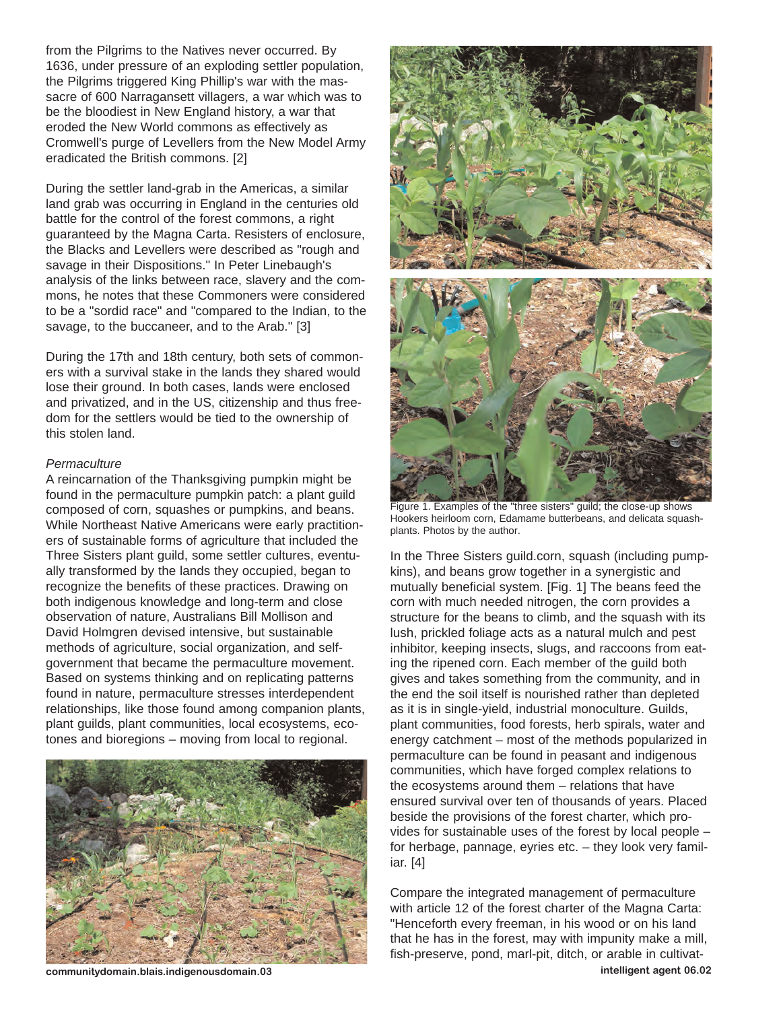from the Pilgrims to the Natives never occurred. By 1636, under pressure of an exploding settler population, the Pilgrims triggered King Phillip's war with the massacre of 600 Narragansett villagers, a war which was to be the bloodiest in New England history, a war that eroded the New World commons as effectively as Cromwell's purge of Levellers from the New Model Army eradicated the British commons. [2]

During the settler land-grab in the Americas, a similar land grab was occurring in England in the centuries old battle for the control of the forest commons, a right guaranteed by the Magna Carta. Resisters of enclosure, the Blacks and Levellers were described as "rough and savage in their Dispositions." In Peter Linebaugh's analysis of the links between race, slavery and the commons, he notes that these Commoners were considered to be a "sordid race" and "compared to the Indian, to the savage, to the buccaneer, and to the Arab." [3]

During the 17th and 18th century, both sets of commoners with a survival stake in the lands they shared would lose their ground. In both cases, lands were enclosed and privatized, and in the US, citizenship and thus freedom for the settlers would be tied to the ownership of this stolen land.

#### *Permaculture*

A reincarnation of the Thanksgiving pumpkin might be found in the permaculture pumpkin patch: a plant guild composed of corn, squashes or pumpkins, and beans. While Northeast Native Americans were early practitioners of sustainable forms of agriculture that included the Three Sisters plant guild, some settler cultures, eventually transformed by the lands they occupied, began to recognize the benefits of these practices. Drawing on both indigenous knowledge and long-term and close observation of nature, Australians Bill Mollison and David Holmgren devised intensive, but sustainable methods of agriculture, social organization, and selfgovernment that became the permaculture movement. Based on systems thinking and on replicating patterns found in nature, permaculture stresses interdependent relationships, like those found among companion plants, plant guilds, plant communities, local ecosystems, ecotones and bioregions – moving from local to regional.





In the Three Sisters guild.corn, squash (including pumpkins), and beans grow together in a synergistic and mutually beneficial system. [Fig. 1] The beans feed the corn with much needed nitrogen, the corn provides a structure for the beans to climb, and the squash with its lush, prickled foliage acts as a natural mulch and pest inhibitor, keeping insects, slugs, and raccoons from eating the ripened corn. Each member of the guild both gives and takes something from the community, and in the end the soil itself is nourished rather than depleted as it is in single-yield, industrial monoculture. Guilds, plant communities, food forests, herb spirals, water and energy catchment – most of the methods popularized in permaculture can be found in peasant and indigenous communities, which have forged complex relations to the ecosystems around them – relations that have ensured survival over ten of thousands of years. Placed beside the provisions of the forest charter, which provides for sustainable uses of the forest by local people – for herbage, pannage, eyries etc. – they look very familiar. [4]

Compare the integrated management of permaculture with article 12 of the forest charter of the Magna Carta: "Henceforth every freeman, in his wood or on his land that he has in the forest, may with impunity make a mill, fish-preserve, pond, marl-pit, ditch, or arable in cultivat-

**communitydomain.blais.indigenousdomain.03 intelligent agent 06.02**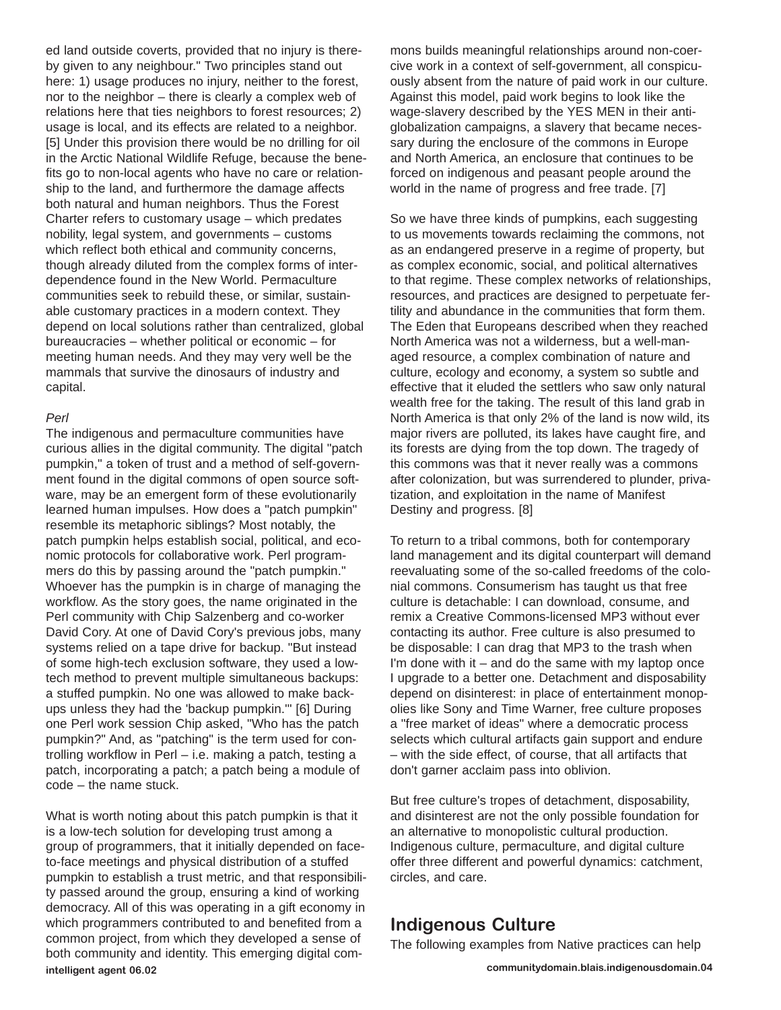ed land outside coverts, provided that no injury is thereby given to any neighbour." Two principles stand out here: 1) usage produces no injury, neither to the forest, nor to the neighbor – there is clearly a complex web of relations here that ties neighbors to forest resources; 2) usage is local, and its effects are related to a neighbor. [5] Under this provision there would be no drilling for oil in the Arctic National Wildlife Refuge, because the benefits go to non-local agents who have no care or relationship to the land, and furthermore the damage affects both natural and human neighbors. Thus the Forest Charter refers to customary usage – which predates nobility, legal system, and governments – customs which reflect both ethical and community concerns, though already diluted from the complex forms of interdependence found in the New World. Permaculture communities seek to rebuild these, or similar, sustainable customary practices in a modern context. They depend on local solutions rather than centralized, global bureaucracies – whether political or economic – for meeting human needs. And they may very well be the mammals that survive the dinosaurs of industry and capital.

#### *Perl*

The indigenous and permaculture communities have curious allies in the digital community. The digital "patch pumpkin," a token of trust and a method of self-government found in the digital commons of open source software, may be an emergent form of these evolutionarily learned human impulses. How does a "patch pumpkin" resemble its metaphoric siblings? Most notably, the patch pumpkin helps establish social, political, and economic protocols for collaborative work. Perl programmers do this by passing around the "patch pumpkin." Whoever has the pumpkin is in charge of managing the workflow. As the story goes, the name originated in the Perl community with Chip Salzenberg and co-worker David Cory. At one of David Cory's previous jobs, many systems relied on a tape drive for backup. "But instead of some high-tech exclusion software, they used a lowtech method to prevent multiple simultaneous backups: a stuffed pumpkin. No one was allowed to make backups unless they had the 'backup pumpkin.'" [6] During one Perl work session Chip asked, "Who has the patch pumpkin?" And, as "patching" is the term used for controlling workflow in Perl – i.e. making a patch, testing a patch, incorporating a patch; a patch being a module of code – the name stuck.

What is worth noting about this patch pumpkin is that it is a low-tech solution for developing trust among a group of programmers, that it initially depended on faceto-face meetings and physical distribution of a stuffed pumpkin to establish a trust metric, and that responsibility passed around the group, ensuring a kind of working democracy. All of this was operating in a gift economy in which programmers contributed to and benefited from a common project, from which they developed a sense of both community and identity. This emerging digital com**intelligent agent 06.02 communitydomain.blais.indigenousdomain.04**

mons builds meaningful relationships around non-coercive work in a context of self-government, all conspicuously absent from the nature of paid work in our culture. Against this model, paid work begins to look like the wage-slavery described by the YES MEN in their antiglobalization campaigns, a slavery that became necessary during the enclosure of the commons in Europe and North America, an enclosure that continues to be forced on indigenous and peasant people around the world in the name of progress and free trade. [7]

So we have three kinds of pumpkins, each suggesting to us movements towards reclaiming the commons, not as an endangered preserve in a regime of property, but as complex economic, social, and political alternatives to that regime. These complex networks of relationships, resources, and practices are designed to perpetuate fertility and abundance in the communities that form them. The Eden that Europeans described when they reached North America was not a wilderness, but a well-managed resource, a complex combination of nature and culture, ecology and economy, a system so subtle and effective that it eluded the settlers who saw only natural wealth free for the taking. The result of this land grab in North America is that only 2% of the land is now wild, its major rivers are polluted, its lakes have caught fire, and its forests are dying from the top down. The tragedy of this commons was that it never really was a commons after colonization, but was surrendered to plunder, privatization, and exploitation in the name of Manifest Destiny and progress. [8]

To return to a tribal commons, both for contemporary land management and its digital counterpart will demand reevaluating some of the so-called freedoms of the colonial commons. Consumerism has taught us that free culture is detachable: I can download, consume, and remix a Creative Commons-licensed MP3 without ever contacting its author. Free culture is also presumed to be disposable: I can drag that MP3 to the trash when I'm done with it  $-$  and do the same with my laptop once I upgrade to a better one. Detachment and disposability depend on disinterest: in place of entertainment monopolies like Sony and Time Warner, free culture proposes a "free market of ideas" where a democratic process selects which cultural artifacts gain support and endure – with the side effect, of course, that all artifacts that don't garner acclaim pass into oblivion.

But free culture's tropes of detachment, disposability, and disinterest are not the only possible foundation for an alternative to monopolistic cultural production. Indigenous culture, permaculture, and digital culture offer three different and powerful dynamics: catchment, circles, and care.

### **Indigenous Culture**

The following examples from Native practices can help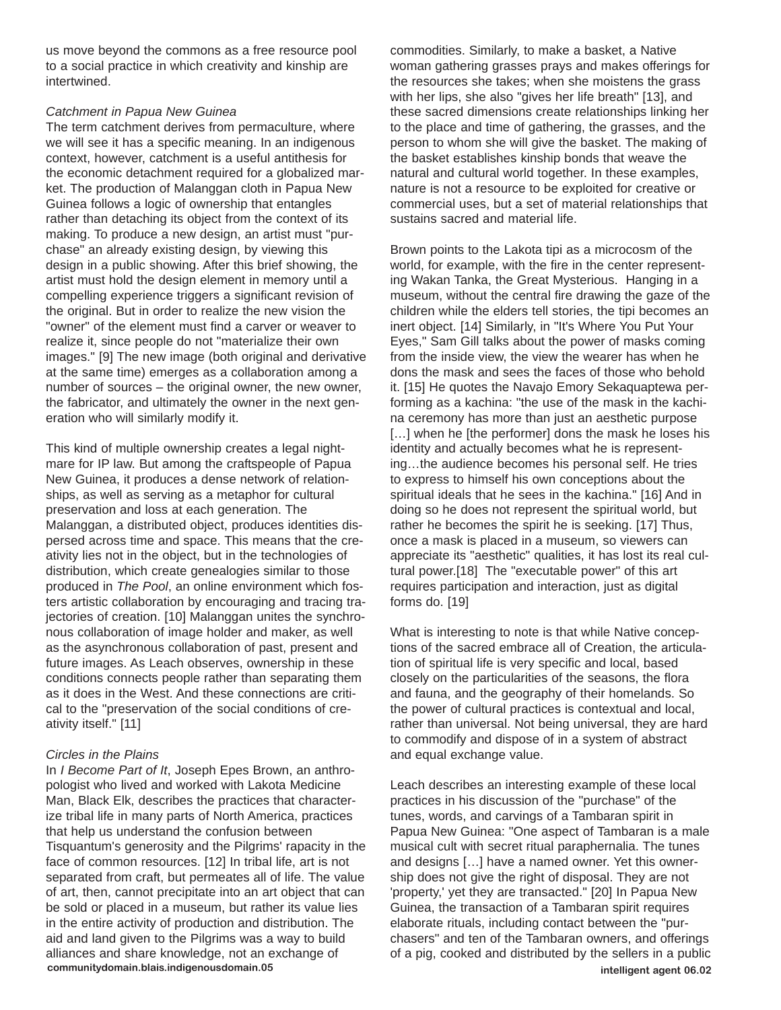us move beyond the commons as a free resource pool to a social practice in which creativity and kinship are intertwined.

#### *Catchment in Papua New Guinea*

The term catchment derives from permaculture, where we will see it has a specific meaning. In an indigenous context, however, catchment is a useful antithesis for the economic detachment required for a globalized market. The production of Malanggan cloth in Papua New Guinea follows a logic of ownership that entangles rather than detaching its object from the context of its making. To produce a new design, an artist must "purchase" an already existing design, by viewing this design in a public showing. After this brief showing, the artist must hold the design element in memory until a compelling experience triggers a significant revision of the original. But in order to realize the new vision the "owner" of the element must find a carver or weaver to realize it, since people do not "materialize their own images." [9] The new image (both original and derivative at the same time) emerges as a collaboration among a number of sources – the original owner, the new owner, the fabricator, and ultimately the owner in the next generation who will similarly modify it.

This kind of multiple ownership creates a legal nightmare for IP law. But among the craftspeople of Papua New Guinea, it produces a dense network of relationships, as well as serving as a metaphor for cultural preservation and loss at each generation. The Malanggan, a distributed object, produces identities dispersed across time and space. This means that the creativity lies not in the object, but in the technologies of distribution, which create genealogies similar to those produced in *The Pool*, an online environment which fosters artistic collaboration by encouraging and tracing trajectories of creation. [10] Malanggan unites the synchronous collaboration of image holder and maker, as well as the asynchronous collaboration of past, present and future images. As Leach observes, ownership in these conditions connects people rather than separating them as it does in the West. And these connections are critical to the "preservation of the social conditions of creativity itself." [11]

### *Circles in the Plains*

In *I Become Part of It*, Joseph Epes Brown, an anthropologist who lived and worked with Lakota Medicine Man, Black Elk, describes the practices that characterize tribal life in many parts of North America, practices that help us understand the confusion between Tisquantum's generosity and the Pilgrims' rapacity in the face of common resources. [12] In tribal life, art is not separated from craft, but permeates all of life. The value of art, then, cannot precipitate into an art object that can be sold or placed in a museum, but rather its value lies in the entire activity of production and distribution. The aid and land given to the Pilgrims was a way to build alliances and share knowledge, not an exchange of **communitydomain.blais.indigenousdomain.05 intelligent agent 06.02**

commodities. Similarly, to make a basket, a Native woman gathering grasses prays and makes offerings for the resources she takes; when she moistens the grass with her lips, she also "gives her life breath" [13], and these sacred dimensions create relationships linking her to the place and time of gathering, the grasses, and the person to whom she will give the basket. The making of the basket establishes kinship bonds that weave the natural and cultural world together. In these examples, nature is not a resource to be exploited for creative or commercial uses, but a set of material relationships that sustains sacred and material life.

Brown points to the Lakota tipi as a microcosm of the world, for example, with the fire in the center representing Wakan Tanka, the Great Mysterious. Hanging in a museum, without the central fire drawing the gaze of the children while the elders tell stories, the tipi becomes an inert object. [14] Similarly, in "It's Where You Put Your Eyes," Sam Gill talks about the power of masks coming from the inside view, the view the wearer has when he dons the mask and sees the faces of those who behold it. [15] He quotes the Navajo Emory Sekaquaptewa performing as a kachina: "the use of the mask in the kachina ceremony has more than just an aesthetic purpose [...] when he [the performer] dons the mask he loses his identity and actually becomes what he is representing…the audience becomes his personal self. He tries to express to himself his own conceptions about the spiritual ideals that he sees in the kachina." [16] And in doing so he does not represent the spiritual world, but rather he becomes the spirit he is seeking. [17] Thus, once a mask is placed in a museum, so viewers can appreciate its "aesthetic" qualities, it has lost its real cultural power.[18] The "executable power" of this art requires participation and interaction, just as digital forms do. [19]

What is interesting to note is that while Native conceptions of the sacred embrace all of Creation, the articulation of spiritual life is very specific and local, based closely on the particularities of the seasons, the flora and fauna, and the geography of their homelands. So the power of cultural practices is contextual and local, rather than universal. Not being universal, they are hard to commodify and dispose of in a system of abstract and equal exchange value.

Leach describes an interesting example of these local practices in his discussion of the "purchase" of the tunes, words, and carvings of a Tambaran spirit in Papua New Guinea: "One aspect of Tambaran is a male musical cult with secret ritual paraphernalia. The tunes and designs […] have a named owner. Yet this ownership does not give the right of disposal. They are not 'property,' yet they are transacted." [20] In Papua New Guinea, the transaction of a Tambaran spirit requires elaborate rituals, including contact between the "purchasers" and ten of the Tambaran owners, and offerings of a pig, cooked and distributed by the sellers in a public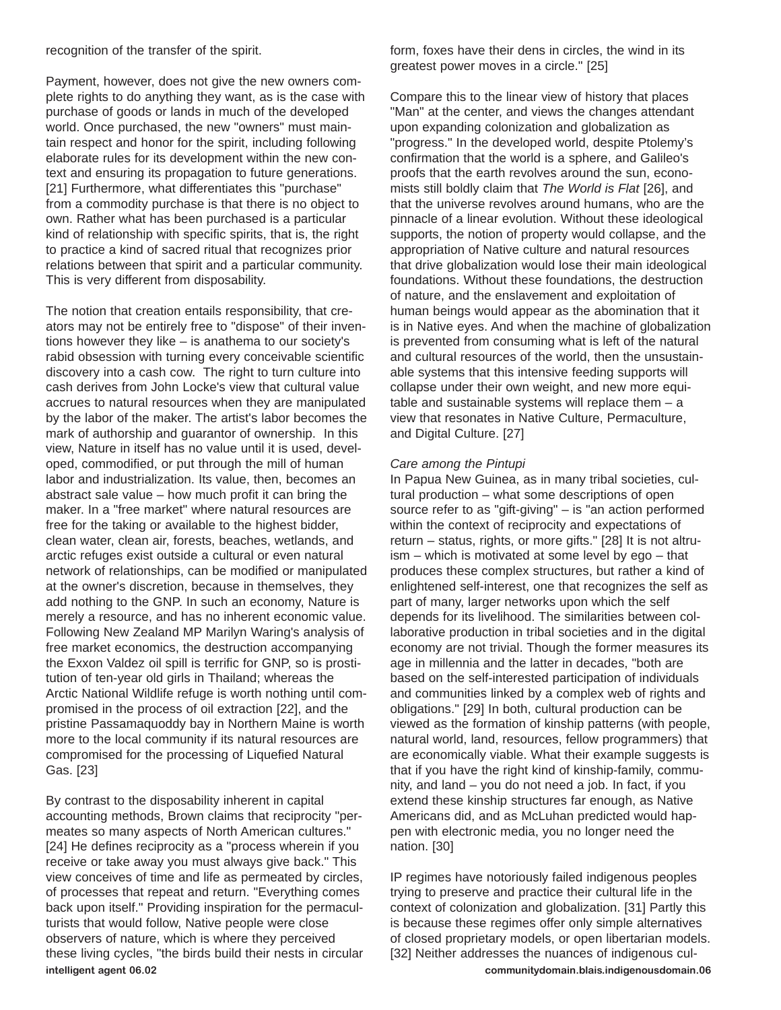recognition of the transfer of the spirit.

Payment, however, does not give the new owners complete rights to do anything they want, as is the case with purchase of goods or lands in much of the developed world. Once purchased, the new "owners" must maintain respect and honor for the spirit, including following elaborate rules for its development within the new context and ensuring its propagation to future generations. [21] Furthermore, what differentiates this "purchase" from a commodity purchase is that there is no object to own. Rather what has been purchased is a particular kind of relationship with specific spirits, that is, the right to practice a kind of sacred ritual that recognizes prior relations between that spirit and a particular community. This is very different from disposability.

The notion that creation entails responsibility, that creators may not be entirely free to "dispose" of their inventions however they like – is anathema to our society's rabid obsession with turning every conceivable scientific discovery into a cash cow. The right to turn culture into cash derives from John Locke's view that cultural value accrues to natural resources when they are manipulated by the labor of the maker. The artist's labor becomes the mark of authorship and guarantor of ownership. In this view, Nature in itself has no value until it is used, developed, commodified, or put through the mill of human labor and industrialization. Its value, then, becomes an abstract sale value – how much profit it can bring the maker. In a "free market" where natural resources are free for the taking or available to the highest bidder, clean water, clean air, forests, beaches, wetlands, and arctic refuges exist outside a cultural or even natural network of relationships, can be modified or manipulated at the owner's discretion, because in themselves, they add nothing to the GNP. In such an economy, Nature is merely a resource, and has no inherent economic value. Following New Zealand MP Marilyn Waring's analysis of free market economics, the destruction accompanying the Exxon Valdez oil spill is terrific for GNP, so is prostitution of ten-year old girls in Thailand; whereas the Arctic National Wildlife refuge is worth nothing until compromised in the process of oil extraction [22], and the pristine Passamaquoddy bay in Northern Maine is worth more to the local community if its natural resources are compromised for the processing of Liquefied Natural Gas. [23]

By contrast to the disposability inherent in capital accounting methods, Brown claims that reciprocity "permeates so many aspects of North American cultures." [24] He defines reciprocity as a "process wherein if you receive or take away you must always give back." This view conceives of time and life as permeated by circles, of processes that repeat and return. "Everything comes back upon itself." Providing inspiration for the permaculturists that would follow, Native people were close observers of nature, which is where they perceived these living cycles, "the birds build their nests in circular **intelligent agent 06.02 communitydomain.blais.indigenousdomain.06**

form, foxes have their dens in circles, the wind in its greatest power moves in a circle." [25]

Compare this to the linear view of history that places "Man" at the center, and views the changes attendant upon expanding colonization and globalization as "progress." In the developed world, despite Ptolemy's confirmation that the world is a sphere, and Galileo's proofs that the earth revolves around the sun, economists still boldly claim that *The World is Flat* [26], and that the universe revolves around humans, who are the pinnacle of a linear evolution. Without these ideological supports, the notion of property would collapse, and the appropriation of Native culture and natural resources that drive globalization would lose their main ideological foundations. Without these foundations, the destruction of nature, and the enslavement and exploitation of human beings would appear as the abomination that it is in Native eyes. And when the machine of globalization is prevented from consuming what is left of the natural and cultural resources of the world, then the unsustainable systems that this intensive feeding supports will collapse under their own weight, and new more equitable and sustainable systems will replace them  $-$  a view that resonates in Native Culture, Permaculture, and Digital Culture. [27]

#### *Care among the Pintupi*

In Papua New Guinea, as in many tribal societies, cultural production – what some descriptions of open source refer to as "gift-giving" – is "an action performed within the context of reciprocity and expectations of return – status, rights, or more gifts." [28] It is not altruism – which is motivated at some level by ego – that produces these complex structures, but rather a kind of enlightened self-interest, one that recognizes the self as part of many, larger networks upon which the self depends for its livelihood. The similarities between collaborative production in tribal societies and in the digital economy are not trivial. Though the former measures its age in millennia and the latter in decades, "both are based on the self-interested participation of individuals and communities linked by a complex web of rights and obligations." [29] In both, cultural production can be viewed as the formation of kinship patterns (with people, natural world, land, resources, fellow programmers) that are economically viable. What their example suggests is that if you have the right kind of kinship-family, community, and land – you do not need a job. In fact, if you extend these kinship structures far enough, as Native Americans did, and as McLuhan predicted would happen with electronic media, you no longer need the nation. [30]

IP regimes have notoriously failed indigenous peoples trying to preserve and practice their cultural life in the context of colonization and globalization. [31] Partly this is because these regimes offer only simple alternatives of closed proprietary models, or open libertarian models. [32] Neither addresses the nuances of indigenous cul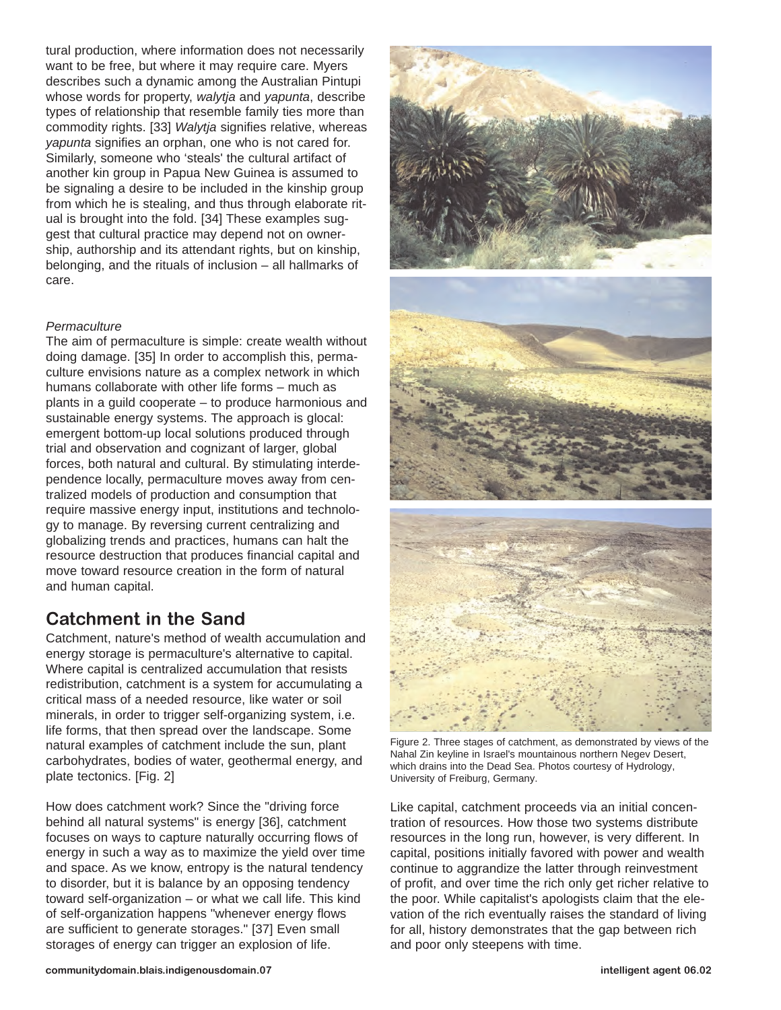tural production, where information does not necessarily want to be free, but where it may require care. Myers describes such a dynamic among the Australian Pintupi whose words for property, *walytja* and *yapunta*, describe types of relationship that resemble family ties more than commodity rights. [33] *Walytja* signifies relative, whereas *yapunta* signifies an orphan, one who is not cared for. Similarly, someone who 'steals' the cultural artifact of another kin group in Papua New Guinea is assumed to be signaling a desire to be included in the kinship group from which he is stealing, and thus through elaborate ritual is brought into the fold. [34] These examples suggest that cultural practice may depend not on ownership, authorship and its attendant rights, but on kinship, belonging, and the rituals of inclusion – all hallmarks of care.

#### *Permaculture*

The aim of permaculture is simple: create wealth without doing damage. [35] In order to accomplish this, permaculture envisions nature as a complex network in which humans collaborate with other life forms – much as plants in a guild cooperate – to produce harmonious and sustainable energy systems. The approach is glocal: emergent bottom-up local solutions produced through trial and observation and cognizant of larger, global forces, both natural and cultural. By stimulating interdependence locally, permaculture moves away from centralized models of production and consumption that require massive energy input, institutions and technology to manage. By reversing current centralizing and globalizing trends and practices, humans can halt the resource destruction that produces financial capital and move toward resource creation in the form of natural and human capital.

## **Catchment in the Sand**

Catchment, nature's method of wealth accumulation and energy storage is permaculture's alternative to capital. Where capital is centralized accumulation that resists redistribution, catchment is a system for accumulating a critical mass of a needed resource, like water or soil minerals, in order to trigger self-organizing system, i.e. life forms, that then spread over the landscape. Some natural examples of catchment include the sun, plant carbohydrates, bodies of water, geothermal energy, and plate tectonics. [Fig. 2]

How does catchment work? Since the "driving force behind all natural systems" is energy [36], catchment focuses on ways to capture naturally occurring flows of energy in such a way as to maximize the yield over time and space. As we know, entropy is the natural tendency to disorder, but it is balance by an opposing tendency toward self-organization – or what we call life. This kind of self-organization happens "whenever energy flows are sufficient to generate storages." [37] Even small storages of energy can trigger an explosion of life.





Figure 2. Three stages of catchment, as demonstrated by views of the Nahal Zin keyline in Israel's mountainous northern Negev Desert, which drains into the Dead Sea. Photos courtesy of Hydrology, University of Freiburg, Germany.

Like capital, catchment proceeds via an initial concentration of resources. How those two systems distribute resources in the long run, however, is very different. In capital, positions initially favored with power and wealth continue to aggrandize the latter through reinvestment of profit, and over time the rich only get richer relative to the poor. While capitalist's apologists claim that the elevation of the rich eventually raises the standard of living for all, history demonstrates that the gap between rich and poor only steepens with time.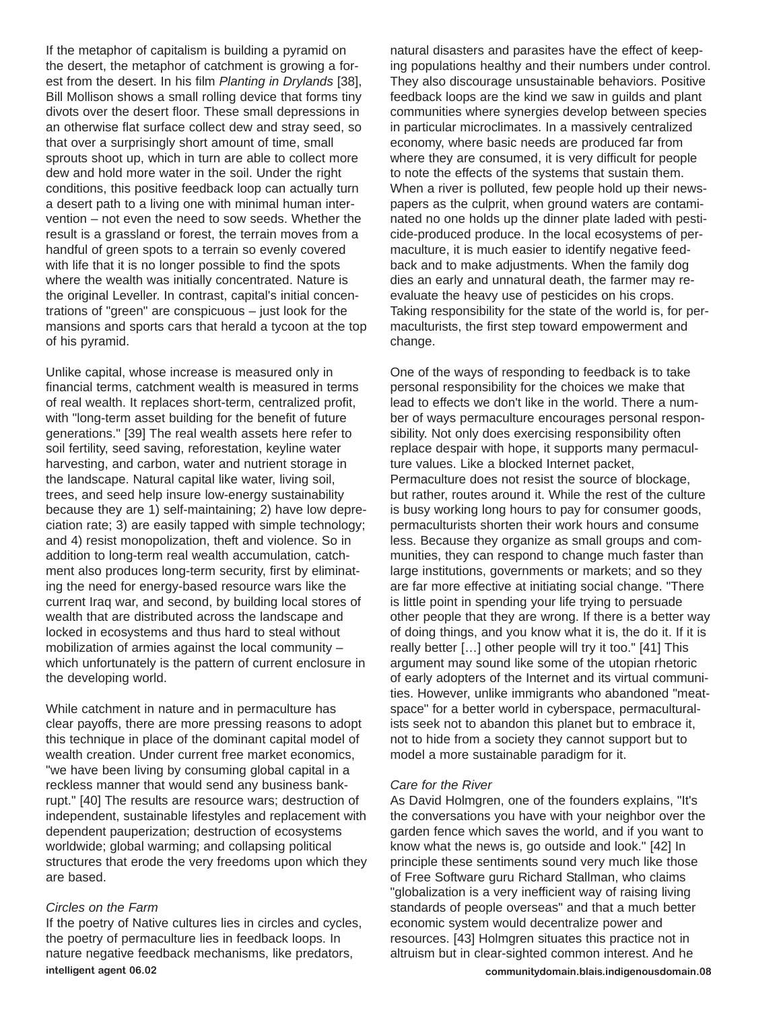If the metaphor of capitalism is building a pyramid on the desert, the metaphor of catchment is growing a forest from the desert. In his film *Planting in Drylands* [38], Bill Mollison shows a small rolling device that forms tiny divots over the desert floor. These small depressions in an otherwise flat surface collect dew and stray seed, so that over a surprisingly short amount of time, small sprouts shoot up, which in turn are able to collect more dew and hold more water in the soil. Under the right conditions, this positive feedback loop can actually turn a desert path to a living one with minimal human intervention – not even the need to sow seeds. Whether the result is a grassland or forest, the terrain moves from a handful of green spots to a terrain so evenly covered with life that it is no longer possible to find the spots where the wealth was initially concentrated. Nature is the original Leveller. In contrast, capital's initial concentrations of "green" are conspicuous – just look for the mansions and sports cars that herald a tycoon at the top of his pyramid.

Unlike capital, whose increase is measured only in financial terms, catchment wealth is measured in terms of real wealth. It replaces short-term, centralized profit, with "long-term asset building for the benefit of future generations." [39] The real wealth assets here refer to soil fertility, seed saving, reforestation, keyline water harvesting, and carbon, water and nutrient storage in the landscape. Natural capital like water, living soil, trees, and seed help insure low-energy sustainability because they are 1) self-maintaining; 2) have low depreciation rate; 3) are easily tapped with simple technology; and 4) resist monopolization, theft and violence. So in addition to long-term real wealth accumulation, catchment also produces long-term security, first by eliminating the need for energy-based resource wars like the current Iraq war, and second, by building local stores of wealth that are distributed across the landscape and locked in ecosystems and thus hard to steal without mobilization of armies against the local community – which unfortunately is the pattern of current enclosure in the developing world.

While catchment in nature and in permaculture has clear payoffs, there are more pressing reasons to adopt this technique in place of the dominant capital model of wealth creation. Under current free market economics, "we have been living by consuming global capital in a reckless manner that would send any business bankrupt." [40] The results are resource wars; destruction of independent, sustainable lifestyles and replacement with dependent pauperization; destruction of ecosystems worldwide; global warming; and collapsing political structures that erode the very freedoms upon which they are based.

#### *Circles on the Farm*

If the poetry of Native cultures lies in circles and cycles, the poetry of permaculture lies in feedback loops. In nature negative feedback mechanisms, like predators, **intelligent agent 06.02 communitydomain.blais.indigenousdomain.08**

natural disasters and parasites have the effect of keeping populations healthy and their numbers under control. They also discourage unsustainable behaviors. Positive feedback loops are the kind we saw in guilds and plant communities where synergies develop between species in particular microclimates. In a massively centralized economy, where basic needs are produced far from where they are consumed, it is very difficult for people to note the effects of the systems that sustain them. When a river is polluted, few people hold up their newspapers as the culprit, when ground waters are contaminated no one holds up the dinner plate laded with pesticide-produced produce. In the local ecosystems of permaculture, it is much easier to identify negative feedback and to make adjustments. When the family dog dies an early and unnatural death, the farmer may reevaluate the heavy use of pesticides on his crops. Taking responsibility for the state of the world is, for permaculturists, the first step toward empowerment and change.

One of the ways of responding to feedback is to take personal responsibility for the choices we make that lead to effects we don't like in the world. There a number of ways permaculture encourages personal responsibility. Not only does exercising responsibility often replace despair with hope, it supports many permaculture values. Like a blocked Internet packet, Permaculture does not resist the source of blockage, but rather, routes around it. While the rest of the culture is busy working long hours to pay for consumer goods, permaculturists shorten their work hours and consume less. Because they organize as small groups and communities, they can respond to change much faster than large institutions, governments or markets; and so they are far more effective at initiating social change. "There is little point in spending your life trying to persuade other people that they are wrong. If there is a better way of doing things, and you know what it is, the do it. If it is really better […] other people will try it too." [41] This argument may sound like some of the utopian rhetoric of early adopters of the Internet and its virtual communities. However, unlike immigrants who abandoned "meatspace" for a better world in cyberspace, permaculturalists seek not to abandon this planet but to embrace it, not to hide from a society they cannot support but to model a more sustainable paradigm for it.

#### *Care for the River*

As David Holmgren, one of the founders explains, "It's the conversations you have with your neighbor over the garden fence which saves the world, and if you want to know what the news is, go outside and look." [42] In principle these sentiments sound very much like those of Free Software guru Richard Stallman, who claims "globalization is a very inefficient way of raising living standards of people overseas" and that a much better economic system would decentralize power and resources. [43] Holmgren situates this practice not in altruism but in clear-sighted common interest. And he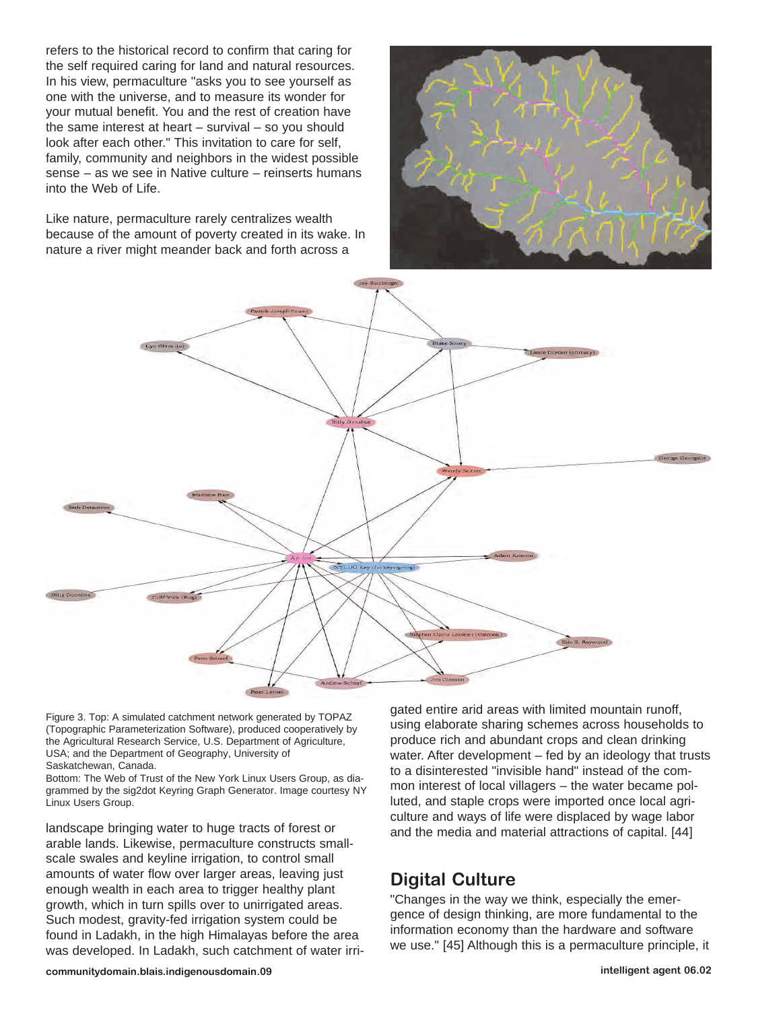refers to the historical record to confirm that caring for the self required caring for land and natural resources. In his view, permaculture "asks you to see yourself as one with the universe, and to measure its wonder for your mutual benefit. You and the rest of creation have the same interest at heart – survival – so you should look after each other." This invitation to care for self, family, community and neighbors in the widest possible sense – as we see in Native culture – reinserts humans into the Web of Life.

Like nature, permaculture rarely centralizes wealth because of the amount of poverty created in its wake. In nature a river might meander back and forth across a





Figure 3. Top: A simulated catchment network generated by TOPAZ (Topographic Parameterization Software), produced cooperatively by the Agricultural Research Service, U.S. Department of Agriculture, USA; and the Department of Geography, University of Saskatchewan, Canada.

Bottom: The Web of Trust of the New York Linux Users Group, as diagrammed by the sig2dot Keyring Graph Generator. Image courtesy NY Linux Users Group.

landscape bringing water to huge tracts of forest or arable lands. Likewise, permaculture constructs smallscale swales and keyline irrigation, to control small amounts of water flow over larger areas, leaving just enough wealth in each area to trigger healthy plant growth, which in turn spills over to unirrigated areas. Such modest, gravity-fed irrigation system could be found in Ladakh, in the high Himalayas before the area was developed. In Ladakh, such catchment of water irrigated entire arid areas with limited mountain runoff, using elaborate sharing schemes across households to produce rich and abundant crops and clean drinking water. After development – fed by an ideology that trusts to a disinterested "invisible hand" instead of the common interest of local villagers – the water became polluted, and staple crops were imported once local agriculture and ways of life were displaced by wage labor and the media and material attractions of capital. [44]

## **Digital Culture**

"Changes in the way we think, especially the emergence of design thinking, are more fundamental to the information economy than the hardware and software we use." [45] Although this is a permaculture principle, it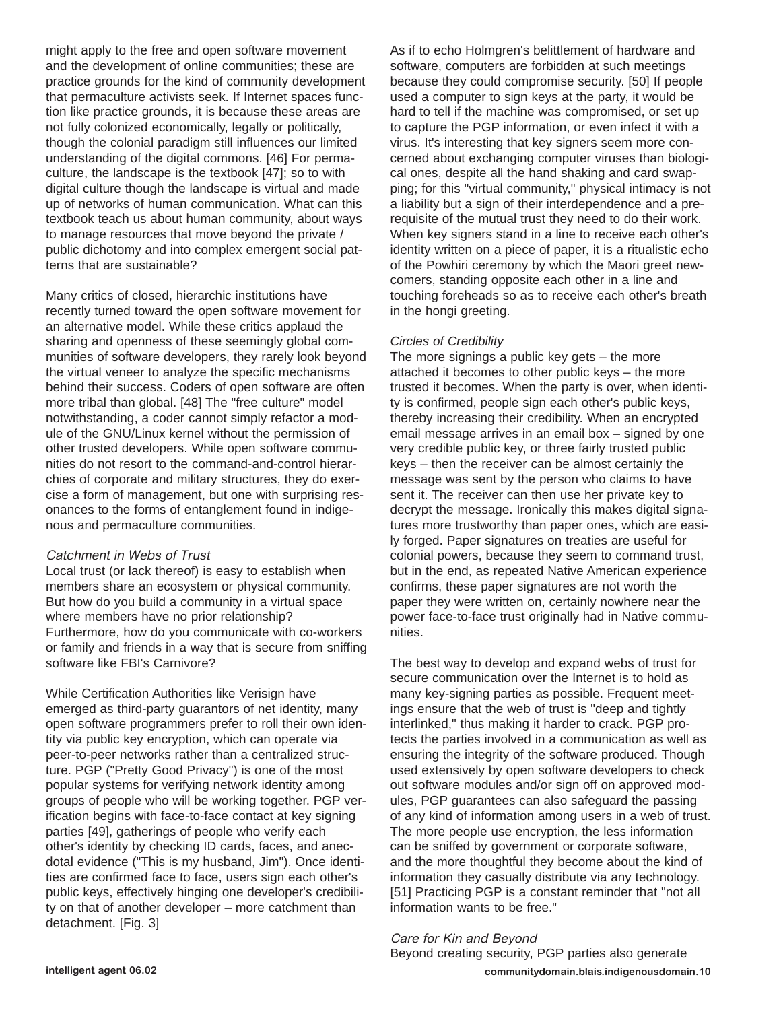might apply to the free and open software movement and the development of online communities; these are practice grounds for the kind of community development that permaculture activists seek. If Internet spaces function like practice grounds, it is because these areas are not fully colonized economically, legally or politically, though the colonial paradigm still influences our limited understanding of the digital commons. [46] For permaculture, the landscape is the textbook [47]; so to with digital culture though the landscape is virtual and made up of networks of human communication. What can this textbook teach us about human community, about ways to manage resources that move beyond the private / public dichotomy and into complex emergent social patterns that are sustainable?

Many critics of closed, hierarchic institutions have recently turned toward the open software movement for an alternative model. While these critics applaud the sharing and openness of these seemingly global communities of software developers, they rarely look beyond the virtual veneer to analyze the specific mechanisms behind their success. Coders of open software are often more tribal than global. [48] The "free culture" model notwithstanding, a coder cannot simply refactor a module of the GNU/Linux kernel without the permission of other trusted developers. While open software communities do not resort to the command-and-control hierarchies of corporate and military structures, they do exercise a form of management, but one with surprising resonances to the forms of entanglement found in indigenous and permaculture communities.

#### Catchment in Webs of Trust

Local trust (or lack thereof) is easy to establish when members share an ecosystem or physical community. But how do you build a community in a virtual space where members have no prior relationship? Furthermore, how do you communicate with co-workers or family and friends in a way that is secure from sniffing software like FBI's Carnivore?

While Certification Authorities like Verisign have emerged as third-party guarantors of net identity, many open software programmers prefer to roll their own identity via public key encryption, which can operate via peer-to-peer networks rather than a centralized structure. PGP ("Pretty Good Privacy") is one of the most popular systems for verifying network identity among groups of people who will be working together. PGP verification begins with face-to-face contact at key signing parties [49], gatherings of people who verify each other's identity by checking ID cards, faces, and anecdotal evidence ("This is my husband, Jim"). Once identities are confirmed face to face, users sign each other's public keys, effectively hinging one developer's credibility on that of another developer – more catchment than detachment. [Fig. 3]

As if to echo Holmgren's belittlement of hardware and software, computers are forbidden at such meetings because they could compromise security. [50] If people used a computer to sign keys at the party, it would be hard to tell if the machine was compromised, or set up to capture the PGP information, or even infect it with a virus. It's interesting that key signers seem more concerned about exchanging computer viruses than biological ones, despite all the hand shaking and card swapping; for this "virtual community," physical intimacy is not a liability but a sign of their interdependence and a prerequisite of the mutual trust they need to do their work. When key signers stand in a line to receive each other's identity written on a piece of paper, it is a ritualistic echo of the Powhiri ceremony by which the Maori greet newcomers, standing opposite each other in a line and touching foreheads so as to receive each other's breath in the hongi greeting.

#### *Circles of Credibility*

The more signings a public key gets – the more attached it becomes to other public keys – the more trusted it becomes. When the party is over, when identity is confirmed, people sign each other's public keys, thereby increasing their credibility. When an encrypted email message arrives in an email box – signed by one very credible public key, or three fairly trusted public keys – then the receiver can be almost certainly the message was sent by the person who claims to have sent it. The receiver can then use her private key to decrypt the message. Ironically this makes digital signatures more trustworthy than paper ones, which are easily forged. Paper signatures on treaties are useful for colonial powers, because they seem to command trust, but in the end, as repeated Native American experience confirms, these paper signatures are not worth the paper they were written on, certainly nowhere near the power face-to-face trust originally had in Native communities.

The best way to develop and expand webs of trust for secure communication over the Internet is to hold as many key-signing parties as possible. Frequent meetings ensure that the web of trust is "deep and tightly interlinked," thus making it harder to crack. PGP protects the parties involved in a communication as well as ensuring the integrity of the software produced. Though used extensively by open software developers to check out software modules and/or sign off on approved modules, PGP guarantees can also safeguard the passing of any kind of information among users in a web of trust. The more people use encryption, the less information can be sniffed by government or corporate software, and the more thoughtful they become about the kind of information they casually distribute via any technology. [51] Practicing PGP is a constant reminder that "not all information wants to be free."

Care for Kin and Beyond Beyond creating security, PGP parties also generate **intelligent agent 06.02 communitydomain.blais.indigenousdomain.10**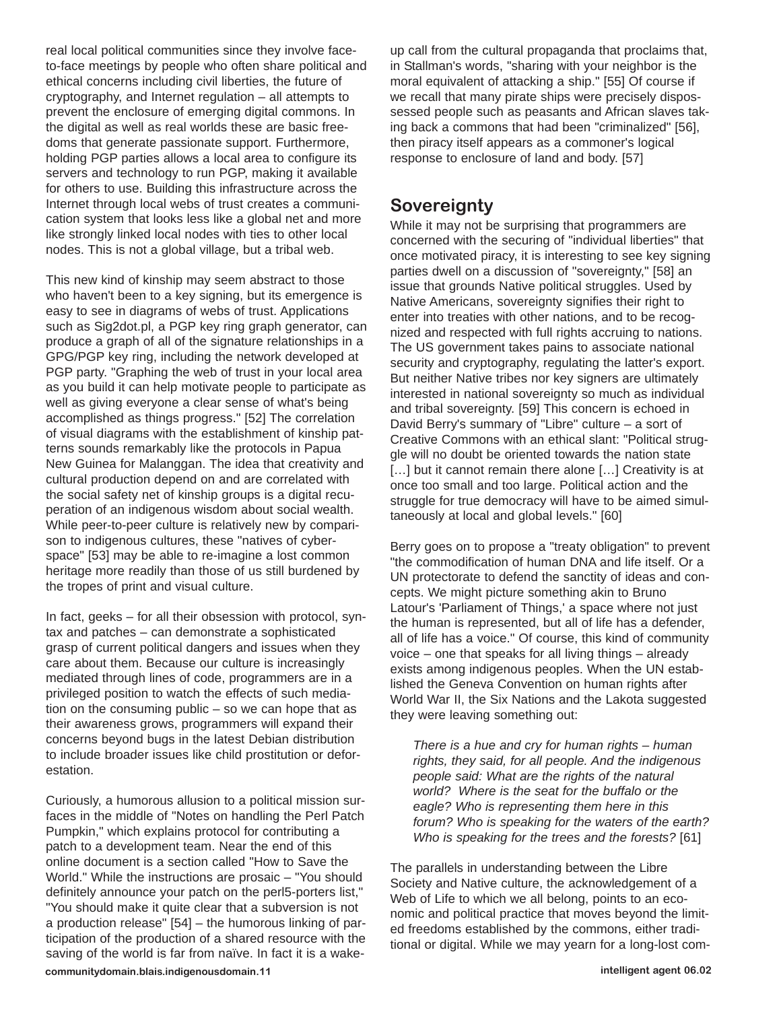real local political communities since they involve faceto-face meetings by people who often share political and ethical concerns including civil liberties, the future of cryptography, and Internet regulation – all attempts to prevent the enclosure of emerging digital commons. In the digital as well as real worlds these are basic freedoms that generate passionate support. Furthermore, holding PGP parties allows a local area to configure its servers and technology to run PGP, making it available for others to use. Building this infrastructure across the Internet through local webs of trust creates a communication system that looks less like a global net and more like strongly linked local nodes with ties to other local nodes. This is not a global village, but a tribal web.

This new kind of kinship may seem abstract to those who haven't been to a key signing, but its emergence is easy to see in diagrams of webs of trust. Applications such as Sig2dot.pl, a PGP key ring graph generator, can produce a graph of all of the signature relationships in a GPG/PGP key ring, including the network developed at PGP party. "Graphing the web of trust in your local area as you build it can help motivate people to participate as well as giving everyone a clear sense of what's being accomplished as things progress." [52] The correlation of visual diagrams with the establishment of kinship patterns sounds remarkably like the protocols in Papua New Guinea for Malanggan. The idea that creativity and cultural production depend on and are correlated with the social safety net of kinship groups is a digital recuperation of an indigenous wisdom about social wealth. While peer-to-peer culture is relatively new by comparison to indigenous cultures, these "natives of cyberspace" [53] may be able to re-imagine a lost common heritage more readily than those of us still burdened by the tropes of print and visual culture.

In fact, geeks – for all their obsession with protocol, syntax and patches – can demonstrate a sophisticated grasp of current political dangers and issues when they care about them. Because our culture is increasingly mediated through lines of code, programmers are in a privileged position to watch the effects of such mediation on the consuming public – so we can hope that as their awareness grows, programmers will expand their concerns beyond bugs in the latest Debian distribution to include broader issues like child prostitution or deforestation.

Curiously, a humorous allusion to a political mission surfaces in the middle of "Notes on handling the Perl Patch Pumpkin," which explains protocol for contributing a patch to a development team. Near the end of this online document is a section called "How to Save the World." While the instructions are prosaic – "You should definitely announce your patch on the perl5-porters list," "You should make it quite clear that a subversion is not a production release" [54] – the humorous linking of participation of the production of a shared resource with the saving of the world is far from naïve. In fact it is a wakeup call from the cultural propaganda that proclaims that, in Stallman's words, "sharing with your neighbor is the moral equivalent of attacking a ship." [55] Of course if we recall that many pirate ships were precisely dispossessed people such as peasants and African slaves taking back a commons that had been "criminalized" [56], then piracy itself appears as a commoner's logical response to enclosure of land and body. [57]

### **Sovereignty**

While it may not be surprising that programmers are concerned with the securing of "individual liberties" that once motivated piracy, it is interesting to see key signing parties dwell on a discussion of "sovereignty," [58] an issue that grounds Native political struggles. Used by Native Americans, sovereignty signifies their right to enter into treaties with other nations, and to be recognized and respected with full rights accruing to nations. The US government takes pains to associate national security and cryptography, regulating the latter's export. But neither Native tribes nor key signers are ultimately interested in national sovereignty so much as individual and tribal sovereignty. [59] This concern is echoed in David Berry's summary of "Libre" culture – a sort of Creative Commons with an ethical slant: "Political struggle will no doubt be oriented towards the nation state [...] but it cannot remain there alone [...] Creativity is at once too small and too large. Political action and the struggle for true democracy will have to be aimed simultaneously at local and global levels." [60]

Berry goes on to propose a "treaty obligation" to prevent "the commodification of human DNA and life itself. Or a UN protectorate to defend the sanctity of ideas and concepts. We might picture something akin to Bruno Latour's 'Parliament of Things,' a space where not just the human is represented, but all of life has a defender, all of life has a voice." Of course, this kind of community voice – one that speaks for all living things – already exists among indigenous peoples. When the UN established the Geneva Convention on human rights after World War II, the Six Nations and the Lakota suggested they were leaving something out:

*There is a hue and cry for human rights – human rights, they said, for all people. And the indigenous people said: What are the rights of the natural world? Where is the seat for the buffalo or the eagle? Who is representing them here in this forum? Who is speaking for the waters of the earth? Who is speaking for the trees and the forests?* [61]

The parallels in understanding between the Libre Society and Native culture, the acknowledgement of a Web of Life to which we all belong, points to an economic and political practice that moves beyond the limited freedoms established by the commons, either traditional or digital. While we may yearn for a long-lost com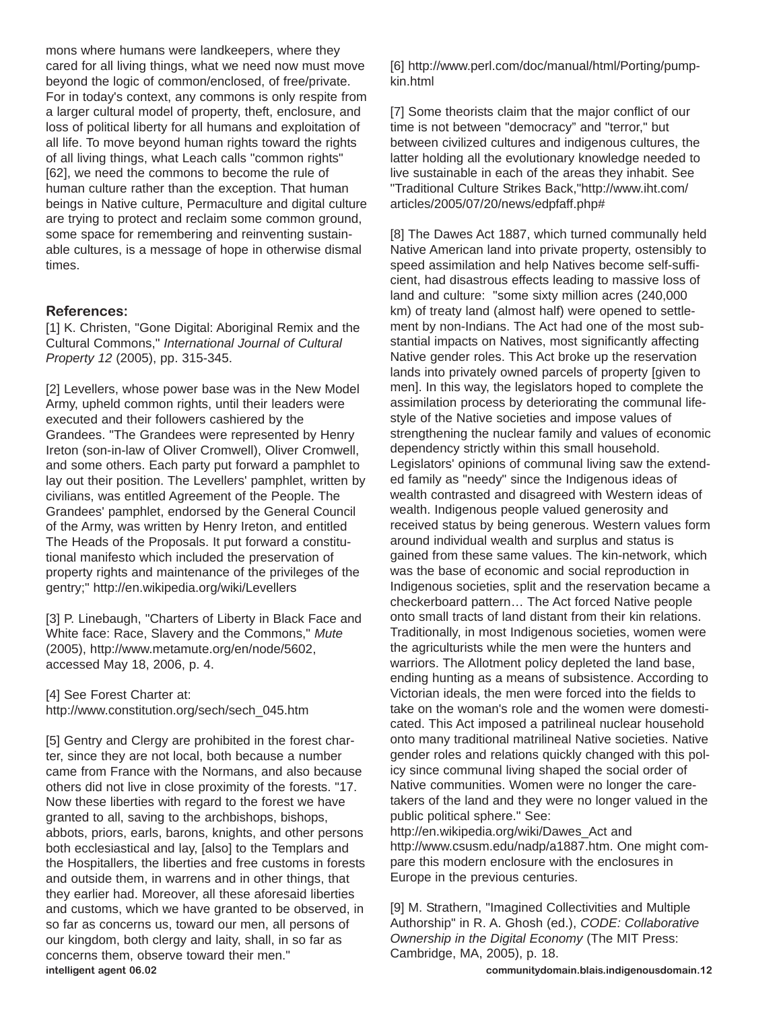mons where humans were landkeepers, where they cared for all living things, what we need now must move beyond the logic of common/enclosed, of free/private. For in today's context, any commons is only respite from a larger cultural model of property, theft, enclosure, and loss of political liberty for all humans and exploitation of all life. To move beyond human rights toward the rights of all living things, what Leach calls "common rights" [62], we need the commons to become the rule of human culture rather than the exception. That human beings in Native culture, Permaculture and digital culture are trying to protect and reclaim some common ground, some space for remembering and reinventing sustainable cultures, is a message of hope in otherwise dismal times.

#### **References:**

[1] K. Christen, "Gone Digital: Aboriginal Remix and the Cultural Commons," *International Journal of Cultural Property 12* (2005), pp. 315-345.

[2] Levellers, whose power base was in the New Model Army, upheld common rights, until their leaders were executed and their followers cashiered by the Grandees. "The Grandees were represented by Henry Ireton (son-in-law of Oliver Cromwell), Oliver Cromwell, and some others. Each party put forward a pamphlet to lay out their position. The Levellers' pamphlet, written by civilians, was entitled Agreement of the People. The Grandees' pamphlet, endorsed by the General Council of the Army, was written by Henry Ireton, and entitled The Heads of the Proposals. It put forward a constitutional manifesto which included the preservation of property rights and maintenance of the privileges of the gentry;" http://en.wikipedia.org/wiki/Levellers

[3] P. Linebaugh, "Charters of Liberty in Black Face and White face: Race, Slavery and the Commons," *Mute* (2005), http://www.metamute.org/en/node/5602, accessed May 18, 2006, p. 4.

[4] See Forest Charter at: http://www.constitution.org/sech/sech\_045.htm

[5] Gentry and Clergy are prohibited in the forest charter, since they are not local, both because a number came from France with the Normans, and also because others did not live in close proximity of the forests. "17. Now these liberties with regard to the forest we have granted to all, saving to the archbishops, bishops, abbots, priors, earls, barons, knights, and other persons both ecclesiastical and lay, [also] to the Templars and the Hospitallers, the liberties and free customs in forests and outside them, in warrens and in other things, that they earlier had. Moreover, all these aforesaid liberties and customs, which we have granted to be observed, in so far as concerns us, toward our men, all persons of our kingdom, both clergy and laity, shall, in so far as concerns them, observe toward their men." **intelligent agent 06.02 communitydomain.blais.indigenousdomain.12**

[6] http://www.perl.com/doc/manual/html/Porting/pumpkin.html

[7] Some theorists claim that the major conflict of our time is not between "democracy" and "terror," but between civilized cultures and indigenous cultures, the latter holding all the evolutionary knowledge needed to live sustainable in each of the areas they inhabit. See "Traditional Culture Strikes Back,"http://www.iht.com/ articles/2005/07/20/news/edpfaff.php#

[8] The Dawes Act 1887, which turned communally held Native American land into private property, ostensibly to speed assimilation and help Natives become self-sufficient, had disastrous effects leading to massive loss of land and culture: "some sixty million acres (240,000 km) of treaty land (almost half) were opened to settlement by non-Indians. The Act had one of the most substantial impacts on Natives, most significantly affecting Native gender roles. This Act broke up the reservation lands into privately owned parcels of property [given to men]. In this way, the legislators hoped to complete the assimilation process by deteriorating the communal lifestyle of the Native societies and impose values of strengthening the nuclear family and values of economic dependency strictly within this small household. Legislators' opinions of communal living saw the extended family as "needy" since the Indigenous ideas of wealth contrasted and disagreed with Western ideas of wealth. Indigenous people valued generosity and received status by being generous. Western values form around individual wealth and surplus and status is gained from these same values. The kin-network, which was the base of economic and social reproduction in Indigenous societies, split and the reservation became a checkerboard pattern… The Act forced Native people onto small tracts of land distant from their kin relations. Traditionally, in most Indigenous societies, women were the agriculturists while the men were the hunters and warriors. The Allotment policy depleted the land base, ending hunting as a means of subsistence. According to Victorian ideals, the men were forced into the fields to take on the woman's role and the women were domesticated. This Act imposed a patrilineal nuclear household onto many traditional matrilineal Native societies. Native gender roles and relations quickly changed with this policy since communal living shaped the social order of Native communities. Women were no longer the caretakers of the land and they were no longer valued in the public political sphere." See:

http://en.wikipedia.org/wiki/Dawes\_Act and http://www.csusm.edu/nadp/a1887.htm. One might compare this modern enclosure with the enclosures in Europe in the previous centuries.

[9] M. Strathern, "Imagined Collectivities and Multiple Authorship" in R. A. Ghosh (ed.), *CODE: Collaborative Ownership in the Digital Economy* (The MIT Press: Cambridge, MA, 2005), p. 18.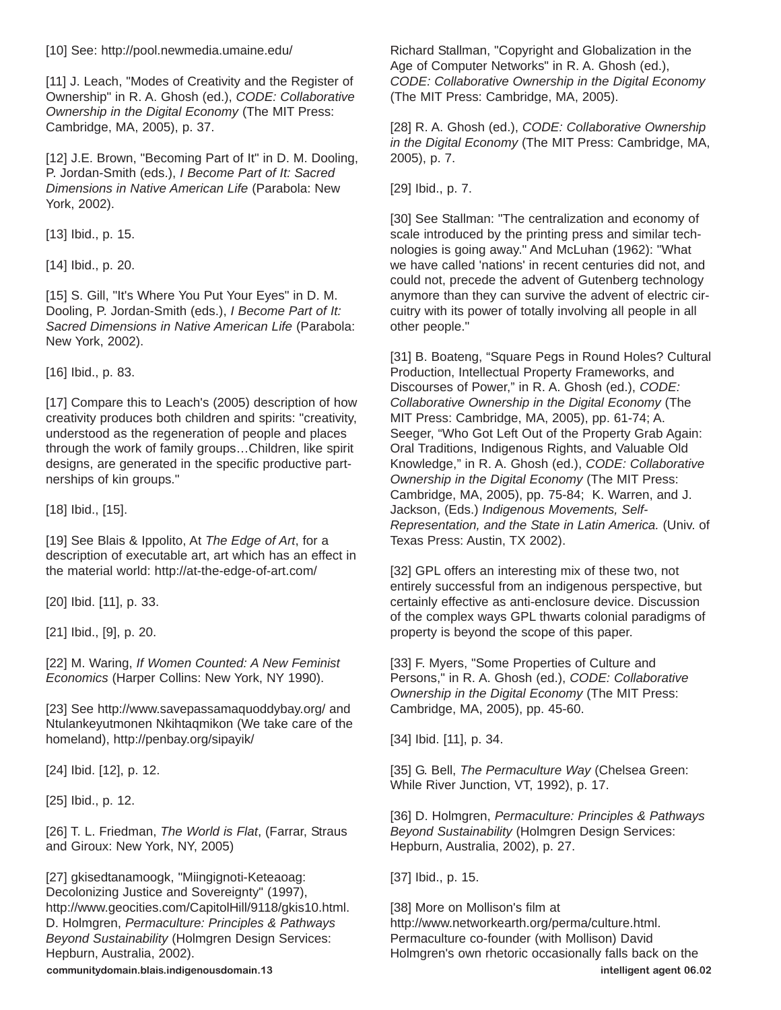[10] See: http://pool.newmedia.umaine.edu/

[11] J. Leach, "Modes of Creativity and the Register of Ownership" in R. A. Ghosh (ed.), *CODE: Collaborative Ownership in the Digital Economy* (The MIT Press: Cambridge, MA, 2005), p. 37.

[12] J.E. Brown, "Becoming Part of It" in D. M. Dooling, P. Jordan-Smith (eds.), *I Become Part of It: Sacred Dimensions in Native American Life* (Parabola: New York, 2002).

[13] Ibid., p. 15.

[14] Ibid., p. 20.

[15] S. Gill, "It's Where You Put Your Eyes" in D. M. Dooling, P. Jordan-Smith (eds.), *I Become Part of It: Sacred Dimensions in Native American Life* (Parabola: New York, 2002).

[16] Ibid., p. 83.

[17] Compare this to Leach's (2005) description of how creativity produces both children and spirits: "creativity, understood as the regeneration of people and places through the work of family groups…Children, like spirit designs, are generated in the specific productive partnerships of kin groups."

[18] Ibid., [15].

[19] See Blais & Ippolito, At *The Edge of Art*, for a description of executable art, art which has an effect in the material world: http://at-the-edge-of-art.com/

[20] Ibid. [11], p. 33.

[21] Ibid., [9], p. 20.

[22] M. Waring, *If Women Counted: A New Feminist Economics* (Harper Collins: New York, NY 1990).

[23] See http://www.savepassamaquoddybay.org/ and Ntulankeyutmonen Nkihtaqmikon (We take care of the homeland), http://penbay.org/sipayik/

[24] Ibid. [12], p. 12.

[25] Ibid., p. 12.

[26] T. L. Friedman, *The World is Flat*, (Farrar, Straus and Giroux: New York, NY, 2005)

[27] gkisedtanamoogk, "Miingignoti-Keteaoag: Decolonizing Justice and Sovereignty" (1997), http://www.geocities.com/CapitolHill/9118/gkis10.html. D. Holmgren, *Permaculture: Principles & Pathways Beyond Sustainability* (Holmgren Design Services: Hepburn, Australia, 2002).

Richard Stallman, "Copyright and Globalization in the Age of Computer Networks" in R. A. Ghosh (ed.), *CODE: Collaborative Ownership in the Digital Economy* (The MIT Press: Cambridge, MA, 2005).

[28] R. A. Ghosh (ed.), *CODE: Collaborative Ownership in the Digital Economy* (The MIT Press: Cambridge, MA, 2005), p. 7.

[29] Ibid., p. 7.

[30] See Stallman: "The centralization and economy of scale introduced by the printing press and similar technologies is going away." And McLuhan (1962): "What we have called 'nations' in recent centuries did not, and could not, precede the advent of Gutenberg technology anymore than they can survive the advent of electric circuitry with its power of totally involving all people in all other people."

[31] B. Boateng, "Square Pegs in Round Holes? Cultural Production, Intellectual Property Frameworks, and Discourses of Power," in R. A. Ghosh (ed.), *CODE: Collaborative Ownership in the Digital Economy* (The MIT Press: Cambridge, MA, 2005), pp. 61-74; A. Seeger, "Who Got Left Out of the Property Grab Again: Oral Traditions, Indigenous Rights, and Valuable Old Knowledge," in R. A. Ghosh (ed.), *CODE: Collaborative Ownership in the Digital Economy* (The MIT Press: Cambridge, MA, 2005), pp. 75-84; K. Warren, and J. Jackson, (Eds.) *Indigenous Movements, Self-Representation, and the State in Latin America.* (Univ. of Texas Press: Austin, TX 2002).

[32] GPL offers an interesting mix of these two, not entirely successful from an indigenous perspective, but certainly effective as anti-enclosure device. Discussion of the complex ways GPL thwarts colonial paradigms of property is beyond the scope of this paper.

[33] F. Myers, "Some Properties of Culture and Persons," in R. A. Ghosh (ed.), *CODE: Collaborative Ownership in the Digital Economy* (The MIT Press: Cambridge, MA, 2005), pp. 45-60.

[34] Ibid. [11], p. 34.

[35] G. Bell, *The Permaculture Way* (Chelsea Green: While River Junction, VT, 1992), p. 17.

[36] D. Holmgren, *Permaculture: Principles & Pathways Beyond Sustainability* (Holmgren Design Services: Hepburn, Australia, 2002), p. 27.

[37] Ibid., p. 15.

[38] More on Mollison's film at http://www.networkearth.org/perma/culture.html. Permaculture co-founder (with Mollison) David Holmgren's own rhetoric occasionally falls back on the **communitydomain.blais.indigenousdomain.13 intelligent agent 06.02**